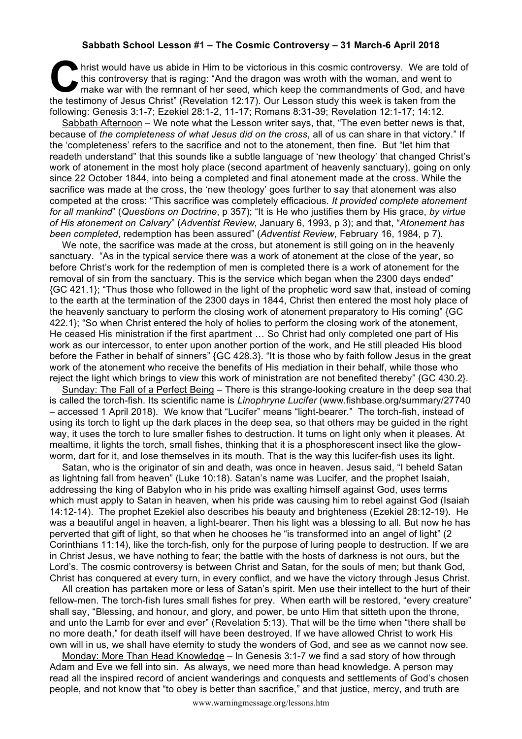## **Sabbath School Lesson #1 – The Cosmic Controversy – 31 March-6 April 2018**

hrist would have us abide in Him to be victorious in this cosmic controversy. We are told of this controversy that is raging: "And the dragon was wroth with the woman, and went to make war with the remnant of her seed, whi this controversy that is raging: "And the dragon was wroth with the woman, and went to make war with the remnant of her seed, which keep the commandments of God, and have the testimony of Jesus Christ" (Revelation 12:17). Our Lesson study this week is taken from the following: Genesis 3:1-7; Ezekiel 28:1-2, 11-17; Romans 8:31-39; Revelation 12:1-17; 14:12.

Sabbath Afternoon - We note what the Lesson writer says, that, "The even better news is that, because of *the completeness of what Jesus did on the cross*, all of us can share in that victory." If the 'completeness' refers to the sacrifice and not to the atonement, then fine. But "let him that readeth understand" that this sounds like a subtle language of 'new theology' that changed Christ's work of atonement in the most holy place (second apartment of heavenly sanctuary), going on only since 22 October 1844, into being a completed and final atonement made at the cross. While the sacrifice was made at the cross, the 'new theology' goes further to say that atonement was also competed at the cross: "This sacrifice was completely efficacious. *It provided complete atonement for all mankind*" (*Questions on Doctrine*, p 357); "It is He who justifies them by His grace, *by virtue of His atonement on Calvary*" (*Adventist Review*, January 6, 1993, p 3); and that, "*Atonement has been completed*, redemption has been assured" (*Adventist Review*, February 16, 1984, p 7).

We note, the sacrifice was made at the cross, but atonement is still going on in the heavenly sanctuary. "As in the typical service there was a work of atonement at the close of the year, so before Christ's work for the redemption of men is completed there is a work of atonement for the removal of sin from the sanctuary. This is the service which began when the 2300 days ended" {GC 421.1}; "Thus those who followed in the light of the prophetic word saw that, instead of coming to the earth at the termination of the 2300 days in 1844, Christ then entered the most holy place of the heavenly sanctuary to perform the closing work of atonement preparatory to His coming" {GC 422.1}; "So when Christ entered the holy of holies to perform the closing work of the atonement, He ceased His ministration if the first apartment … So Christ had only completed one part of His work as our intercessor, to enter upon another portion of the work, and He still pleaded His blood before the Father in behalf of sinners" {GC 428.3}. "It is those who by faith follow Jesus in the great work of the atonement who receive the benefits of His mediation in their behalf, while those who reject the light which brings to view this work of ministration are not benefited thereby" {GC 430.2}.

Sunday: The Fall of a Perfect Being – There is this strange-looking creature in the deep sea that is called the torch-fish. Its scientific name is *Linophryne Lucifer* (www.fishbase.org/summary/27740 – accessed 1 April 2018). We know that "Lucifer" means "light-bearer." The torch-fish, instead of using its torch to light up the dark places in the deep sea, so that others may be guided in the right way, it uses the torch to lure smaller fishes to destruction. It turns on light only when it pleases. At mealtime, it lights the torch, small fishes, thinking that it is a phosphorescent insect like the glowworm, dart for it, and lose themselves in its mouth. That is the way this lucifer-fish uses its light.

Satan, who is the originator of sin and death, was once in heaven. Jesus said, "I beheld Satan as lightning fall from heaven" (Luke 10:18). Satan's name was Lucifer, and the prophet Isaiah, addressing the king of Babylon who in his pride was exalting himself against God, uses terms which must apply to Satan in heaven, when his pride was causing him to rebel against God (Isaiah 14:12-14). The prophet Ezekiel also describes his beauty and brighteness (Ezekiel 28:12-19). He was a beautiful angel in heaven, a light-bearer. Then his light was a blessing to all. But now he has perverted that gift of light, so that when he chooses he "is transformed into an angel of light" (2 Corinthians 11:14), like the torch-fish, only for the purpose of luring people to destruction. If we are in Christ Jesus, we have nothing to fear; the battle with the hosts of darkness is not ours, but the Lord's. The cosmic controversy is between Christ and Satan, for the souls of men; but thank God, Christ has conquered at every turn, in every conflict, and we have the victory through Jesus Christ.

All creation has partaken more or less of Satan's spirit. Men use their intellect to the hurt of their fellow-men. The torch-fish lures small fishes for prey. When earth will be restored, "every creature" shall say, "Blessing, and honour, and glory, and power, be unto Him that sitteth upon the throne, and unto the Lamb for ever and ever" (Revelation 5:13). That will be the time when "there shall be no more death," for death itself will have been destroyed. If we have allowed Christ to work His own will in us, we shall have eternity to study the wonders of God, and see as we cannot now see.

Monday: More Than Head Knowledge – In Genesis 3:1-7 we find a sad story of how through Adam and Eve we fell into sin. As always, we need more than head knowledge. A person may read all the inspired record of ancient wanderings and conquests and settlements of God's chosen people, and not know that "to obey is better than sacrifice," and that justice, mercy, and truth are